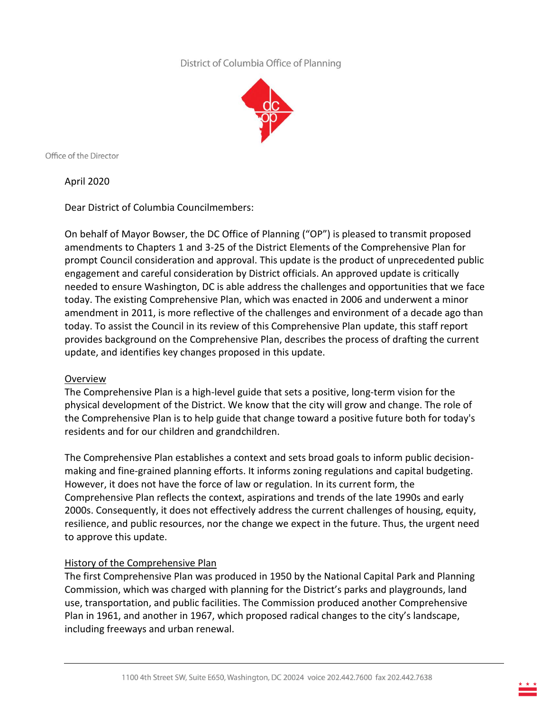# District of Columbia Office of Planning



Office of the Director

April 2020

Dear District of Columbia Councilmembers:

On behalf of Mayor Bowser, the DC Office of Planning ("OP") is pleased to transmit proposed amendments to Chapters 1 and 3-25 of the District Elements of the Comprehensive Plan for prompt Council consideration and approval. This update is the product of unprecedented public engagement and careful consideration by District officials. An approved update is critically needed to ensure Washington, DC is able address the challenges and opportunities that we face today. The existing Comprehensive Plan, which was enacted in 2006 and underwent a minor amendment in 2011, is more reflective of the challenges and environment of a decade ago than today. To assist the Council in its review of this Comprehensive Plan update, this staff report provides background on the Comprehensive Plan, describes the process of drafting the current update, and identifies key changes proposed in this update.

### Overview

The Comprehensive Plan is a high-level guide that sets a positive, long-term vision for the physical development of the District. We know that the city will grow and change. The role of the Comprehensive Plan is to help guide that change toward a positive future both for today's residents and for our children and grandchildren.

The Comprehensive Plan establishes a context and sets broad goals to inform public decisionmaking and fine-grained planning efforts. It informs zoning regulations and capital budgeting. However, it does not have the force of law or regulation. In its current form, the Comprehensive Plan reflects the context, aspirations and trends of the late 1990s and early 2000s. Consequently, it does not effectively address the current challenges of housing, equity, resilience, and public resources, nor the change we expect in the future. Thus, the urgent need to approve this update.

### History of the Comprehensive Plan

The first Comprehensive Plan was produced in 1950 by the National Capital Park and Planning Commission, which was charged with planning for the District's parks and playgrounds, land use, transportation, and public facilities. The Commission produced another Comprehensive Plan in 1961, and another in 1967, which proposed radical changes to the city's landscape, including freeways and urban renewal.

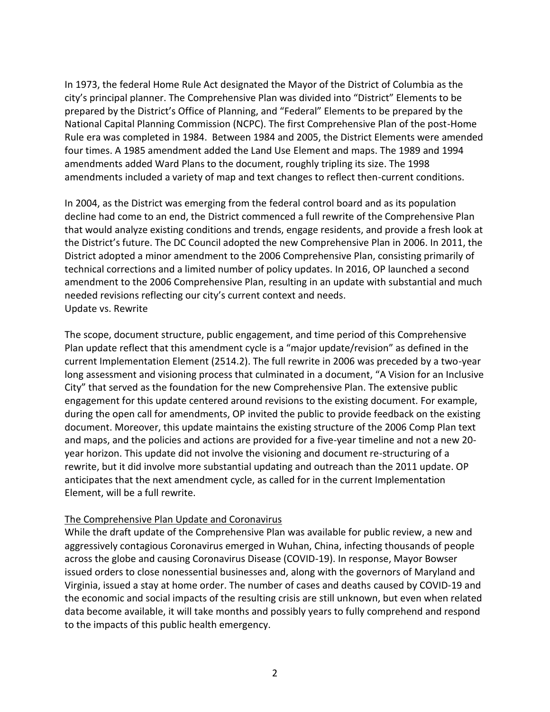In 1973, the federal Home Rule Act designated the Mayor of the District of Columbia as the city's principal planner. The Comprehensive Plan was divided into "District" Elements to be prepared by the District's Office of Planning, and "Federal" Elements to be prepared by the National Capital Planning Commission (NCPC). The first Comprehensive Plan of the post-Home Rule era was completed in 1984. Between 1984 and 2005, the District Elements were amended four times. A 1985 amendment added the Land Use Element and maps. The 1989 and 1994 amendments added Ward Plans to the document, roughly tripling its size. The 1998 amendments included a variety of map and text changes to reflect then-current conditions.

In 2004, as the District was emerging from the federal control board and as its population decline had come to an end, the District commenced a full rewrite of the Comprehensive Plan that would analyze existing conditions and trends, engage residents, and provide a fresh look at the District's future. The DC Council adopted the new Comprehensive Plan in 2006. In 2011, the District adopted a minor amendment to the 2006 Comprehensive Plan, consisting primarily of technical corrections and a limited number of policy updates. In 2016, OP launched a second amendment to the 2006 Comprehensive Plan, resulting in an update with substantial and much needed revisions reflecting our city's current context and needs. Update vs. Rewrite

The scope, document structure, public engagement, and time period of this Comprehensive Plan update reflect that this amendment cycle is a "major update/revision" as defined in the current Implementation Element (2514.2). The full rewrite in 2006 was preceded by a two-year long assessment and visioning process that culminated in a document, "A Vision for an Inclusive City" that served as the foundation for the new Comprehensive Plan. The extensive public engagement for this update centered around revisions to the existing document. For example, during the open call for amendments, OP invited the public to provide feedback on the existing document. Moreover, this update maintains the existing structure of the 2006 Comp Plan text and maps, and the policies and actions are provided for a five-year timeline and not a new 20 year horizon. This update did not involve the visioning and document re-structuring of a rewrite, but it did involve more substantial updating and outreach than the 2011 update. OP anticipates that the next amendment cycle, as called for in the current Implementation Element, will be a full rewrite.

### The Comprehensive Plan Update and Coronavirus

While the draft update of the Comprehensive Plan was available for public review, a new and aggressively contagious Coronavirus emerged in Wuhan, China, infecting thousands of people across the globe and causing Coronavirus Disease (COVID-19). In response, Mayor Bowser issued orders to close nonessential businesses and, along with the governors of Maryland and Virginia, issued a stay at home order. The number of cases and deaths caused by COVID-19 and the economic and social impacts of the resulting crisis are still unknown, but even when related data become available, it will take months and possibly years to fully comprehend and respond to the impacts of this public health emergency.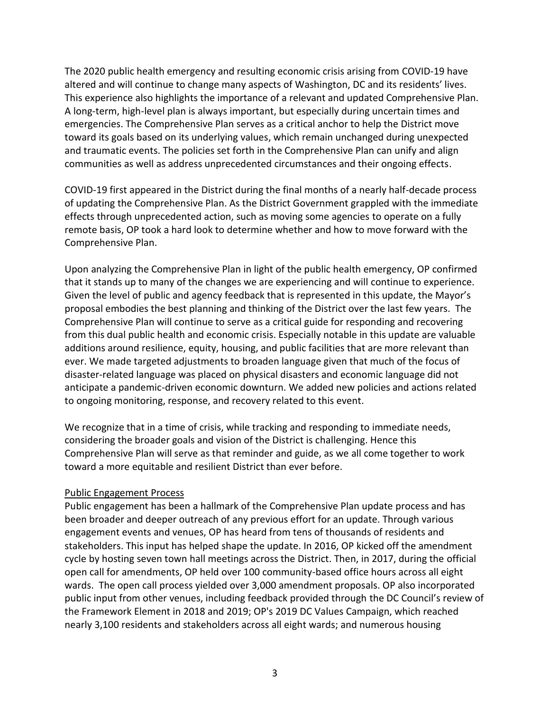The 2020 public health emergency and resulting economic crisis arising from COVID-19 have altered and will continue to change many aspects of Washington, DC and its residents' lives. This experience also highlights the importance of a relevant and updated Comprehensive Plan. A long-term, high-level plan is always important, but especially during uncertain times and emergencies. The Comprehensive Plan serves as a critical anchor to help the District move toward its goals based on its underlying values, which remain unchanged during unexpected and traumatic events. The policies set forth in the Comprehensive Plan can unify and align communities as well as address unprecedented circumstances and their ongoing effects.

COVID-19 first appeared in the District during the final months of a nearly half-decade process of updating the Comprehensive Plan. As the District Government grappled with the immediate effects through unprecedented action, such as moving some agencies to operate on a fully remote basis, OP took a hard look to determine whether and how to move forward with the Comprehensive Plan.

Upon analyzing the Comprehensive Plan in light of the public health emergency, OP confirmed that it stands up to many of the changes we are experiencing and will continue to experience. Given the level of public and agency feedback that is represented in this update, the Mayor's proposal embodies the best planning and thinking of the District over the last few years. The Comprehensive Plan will continue to serve as a critical guide for responding and recovering from this dual public health and economic crisis. Especially notable in this update are valuable additions around resilience, equity, housing, and public facilities that are more relevant than ever. We made targeted adjustments to broaden language given that much of the focus of disaster-related language was placed on physical disasters and economic language did not anticipate a pandemic-driven economic downturn. We added new policies and actions related to ongoing monitoring, response, and recovery related to this event.

We recognize that in a time of crisis, while tracking and responding to immediate needs, considering the broader goals and vision of the District is challenging. Hence this Comprehensive Plan will serve as that reminder and guide, as we all come together to work toward a more equitable and resilient District than ever before.

### Public Engagement Process

Public engagement has been a hallmark of the Comprehensive Plan update process and has been broader and deeper outreach of any previous effort for an update. Through various engagement events and venues, OP has heard from tens of thousands of residents and stakeholders. This input has helped shape the update. In 2016, OP kicked off the amendment cycle by hosting seven town hall meetings across the District. Then, in 2017, during the official open call for amendments, OP held over 100 community-based office hours across all eight wards. The open call process yielded over 3,000 amendment proposals. OP also incorporated public input from other venues, including feedback provided through the DC Council's review of the Framework Element in 2018 and 2019; OP's 2019 DC Values Campaign, which reached nearly 3,100 residents and stakeholders across all eight wards; and numerous housing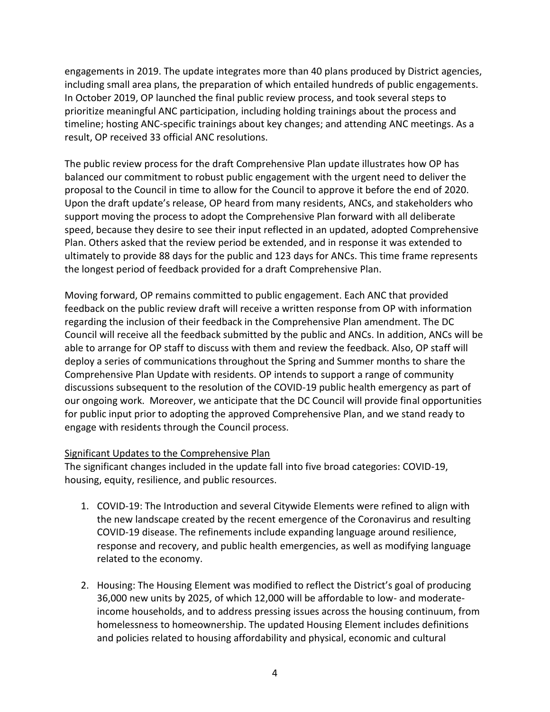engagements in 2019. The update integrates more than 40 plans produced by District agencies, including small area plans, the preparation of which entailed hundreds of public engagements. In October 2019, OP launched the final public review process, and took several steps to prioritize meaningful ANC participation, including holding trainings about the process and timeline; hosting ANC-specific trainings about key changes; and attending ANC meetings. As a result, OP received 33 official ANC resolutions.

The public review process for the draft Comprehensive Plan update illustrates how OP has balanced our commitment to robust public engagement with the urgent need to deliver the proposal to the Council in time to allow for the Council to approve it before the end of 2020. Upon the draft update's release, OP heard from many residents, ANCs, and stakeholders who support moving the process to adopt the Comprehensive Plan forward with all deliberate speed, because they desire to see their input reflected in an updated, adopted Comprehensive Plan. Others asked that the review period be extended, and in response it was extended to ultimately to provide 88 days for the public and 123 days for ANCs. This time frame represents the longest period of feedback provided for a draft Comprehensive Plan.

Moving forward, OP remains committed to public engagement. Each ANC that provided feedback on the public review draft will receive a written response from OP with information regarding the inclusion of their feedback in the Comprehensive Plan amendment. The DC Council will receive all the feedback submitted by the public and ANCs. In addition, ANCs will be able to arrange for OP staff to discuss with them and review the feedback. Also, OP staff will deploy a series of communications throughout the Spring and Summer months to share the Comprehensive Plan Update with residents. OP intends to support a range of community discussions subsequent to the resolution of the COVID-19 public health emergency as part of our ongoing work. Moreover, we anticipate that the DC Council will provide final opportunities for public input prior to adopting the approved Comprehensive Plan, and we stand ready to engage with residents through the Council process.

### Significant Updates to the Comprehensive Plan

The significant changes included in the update fall into five broad categories: COVID-19, housing, equity, resilience, and public resources.

- 1. COVID-19: The Introduction and several Citywide Elements were refined to align with the new landscape created by the recent emergence of the Coronavirus and resulting COVID-19 disease. The refinements include expanding language around resilience, response and recovery, and public health emergencies, as well as modifying language related to the economy.
- 2. Housing: The Housing Element was modified to reflect the District's goal of producing 36,000 new units by 2025, of which 12,000 will be affordable to low- and moderateincome households, and to address pressing issues across the housing continuum, from homelessness to homeownership. The updated Housing Element includes definitions and policies related to housing affordability and physical, economic and cultural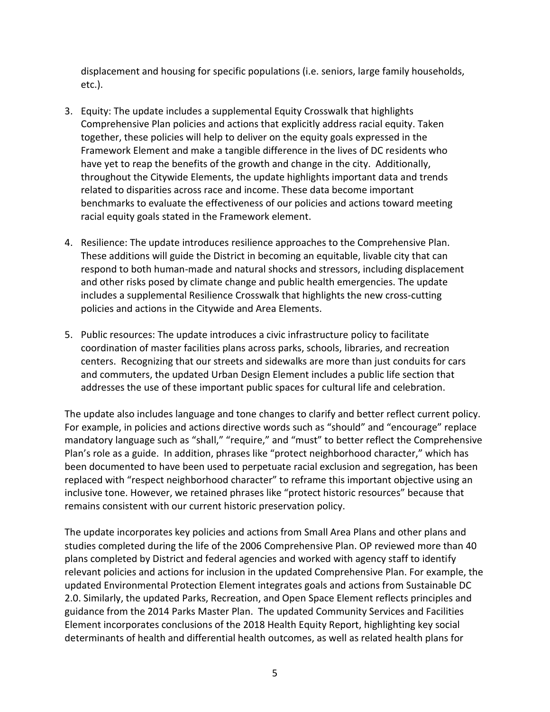displacement and housing for specific populations (i.e. seniors, large family households, etc.).

- 3. Equity: The update includes a supplemental Equity Crosswalk that highlights Comprehensive Plan policies and actions that explicitly address racial equity. Taken together, these policies will help to deliver on the equity goals expressed in the Framework Element and make a tangible difference in the lives of DC residents who have yet to reap the benefits of the growth and change in the city. Additionally, throughout the Citywide Elements, the update highlights important data and trends related to disparities across race and income. These data become important benchmarks to evaluate the effectiveness of our policies and actions toward meeting racial equity goals stated in the Framework element.
- 4. Resilience: The update introduces resilience approaches to the Comprehensive Plan. These additions will guide the District in becoming an equitable, livable city that can respond to both human-made and natural shocks and stressors, including displacement and other risks posed by climate change and public health emergencies. The update includes a supplemental Resilience Crosswalk that highlights the new cross-cutting policies and actions in the Citywide and Area Elements.
- 5. Public resources: The update introduces a civic infrastructure policy to facilitate coordination of master facilities plans across parks, schools, libraries, and recreation centers. Recognizing that our streets and sidewalks are more than just conduits for cars and commuters, the updated Urban Design Element includes a public life section that addresses the use of these important public spaces for cultural life and celebration.

The update also includes language and tone changes to clarify and better reflect current policy. For example, in policies and actions directive words such as "should" and "encourage" replace mandatory language such as "shall," "require," and "must" to better reflect the Comprehensive Plan's role as a guide. In addition, phrases like "protect neighborhood character," which has been documented to have been used to perpetuate racial exclusion and segregation, has been replaced with "respect neighborhood character" to reframe this important objective using an inclusive tone. However, we retained phrases like "protect historic resources" because that remains consistent with our current historic preservation policy.

The update incorporates key policies and actions from Small Area Plans and other plans and studies completed during the life of the 2006 Comprehensive Plan. OP reviewed more than 40 plans completed by District and federal agencies and worked with agency staff to identify relevant policies and actions for inclusion in the updated Comprehensive Plan. For example, the updated Environmental Protection Element integrates goals and actions from Sustainable DC 2.0. Similarly, the updated Parks, Recreation, and Open Space Element reflects principles and guidance from the 2014 Parks Master Plan. The updated Community Services and Facilities Element incorporates conclusions of the 2018 Health Equity Report, highlighting key social determinants of health and differential health outcomes, as well as related health plans for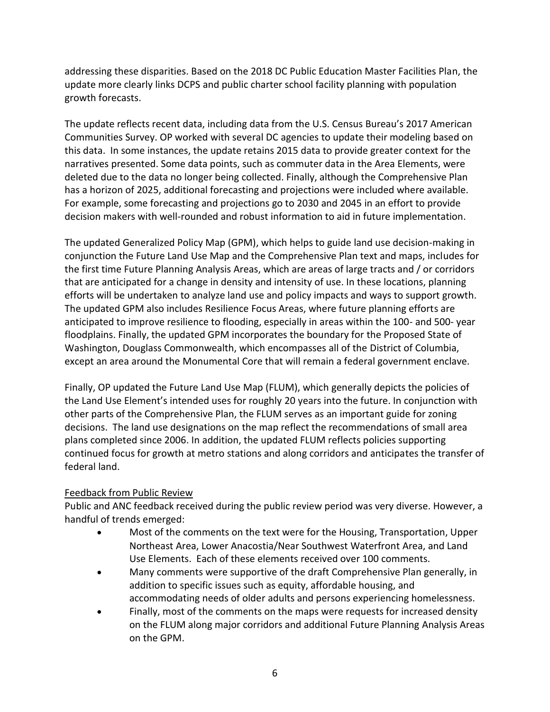addressing these disparities. Based on the 2018 DC Public Education Master Facilities Plan, the update more clearly links DCPS and public charter school facility planning with population growth forecasts.

The update reflects recent data, including data from the U.S. Census Bureau's 2017 American Communities Survey. OP worked with several DC agencies to update their modeling based on this data. In some instances, the update retains 2015 data to provide greater context for the narratives presented. Some data points, such as commuter data in the Area Elements, were deleted due to the data no longer being collected. Finally, although the Comprehensive Plan has a horizon of 2025, additional forecasting and projections were included where available. For example, some forecasting and projections go to 2030 and 2045 in an effort to provide decision makers with well-rounded and robust information to aid in future implementation.

The updated Generalized Policy Map (GPM), which helps to guide land use decision-making in conjunction the Future Land Use Map and the Comprehensive Plan text and maps, includes for the first time Future Planning Analysis Areas, which are areas of large tracts and / or corridors that are anticipated for a change in density and intensity of use. In these locations, planning efforts will be undertaken to analyze land use and policy impacts and ways to support growth. The updated GPM also includes Resilience Focus Areas, where future planning efforts are anticipated to improve resilience to flooding, especially in areas within the 100- and 500- year floodplains. Finally, the updated GPM incorporates the boundary for the Proposed State of Washington, Douglass Commonwealth, which encompasses all of the District of Columbia, except an area around the Monumental Core that will remain a federal government enclave.

Finally, OP updated the Future Land Use Map (FLUM), which generally depicts the policies of the Land Use Element's intended uses for roughly 20 years into the future. In conjunction with other parts of the Comprehensive Plan, the FLUM serves as an important guide for zoning decisions. The land use designations on the map reflect the recommendations of small area plans completed since 2006. In addition, the updated FLUM reflects policies supporting continued focus for growth at metro stations and along corridors and anticipates the transfer of federal land.

# Feedback from Public Review

Public and ANC feedback received during the public review period was very diverse. However, a handful of trends emerged:

- Most of the comments on the text were for the Housing, Transportation, Upper Northeast Area, Lower Anacostia/Near Southwest Waterfront Area, and Land Use Elements. Each of these elements received over 100 comments.
- Many comments were supportive of the draft Comprehensive Plan generally, in addition to specific issues such as equity, affordable housing, and accommodating needs of older adults and persons experiencing homelessness.
- Finally, most of the comments on the maps were requests for increased density on the FLUM along major corridors and additional Future Planning Analysis Areas on the GPM.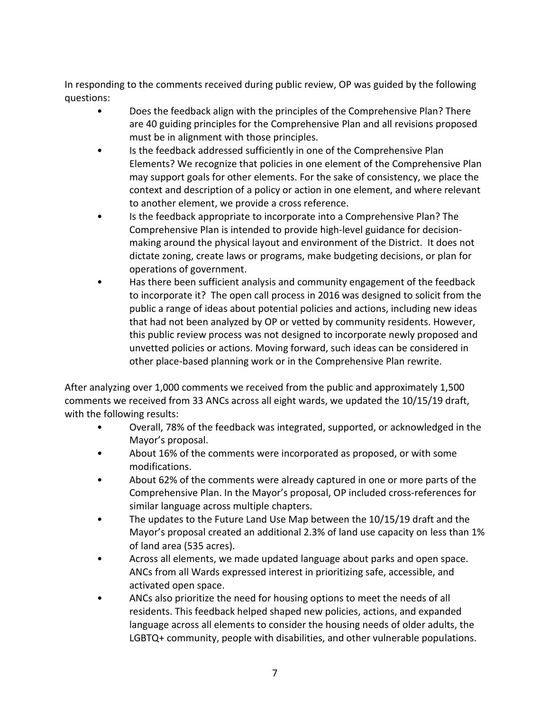In responding to the comments received during public review, OP was guided by the following questions:

- Does the feedback align with the principles of the Comprehensive Plan? There are 40 guiding principles for the Comprehensive Plan and all revisions proposed must be in alignment with those principles.
- Is the feedback addressed sufficiently in one of the Comprehensive Plan Elements? We recognize that policies in one element of the Comprehensive Plan may support goals for other elements. For the sake of consistency, we place the context and description of a policy or action in one element, and where relevant to another element, we provide a cross reference.
- Is the feedback appropriate to incorporate into a Comprehensive Plan? The Comprehensive Plan is intended to provide high-level guidance for decisionmaking around the physical layout and environment of the District. It does not dictate zoning, create laws or programs, make budgeting decisions, or plan for operations of government.
- Has there been sufficient analysis and community engagement of the feedback to incorporate it? The open call process in 2016 was designed to solicit from the public a range of ideas about potential policies and actions, including new ideas that had not been analyzed by OP or vetted by community residents. However, this public review process was not designed to incorporate newly proposed and unvetted policies or actions. Moving forward, such ideas can be considered in other place-based planning work or in the Comprehensive Plan rewrite.

After analyzing over 1,000 comments we received from the public and approximately 1,500 comments we received from 33 ANCs across all eight wards, we updated the 10/15/19 draft, with the following results:

- Overall, 78% of the feedback was integrated, supported, or acknowledged in the Mayor's proposal.
- About 16% of the comments were incorporated as proposed, or with some modifications.
- About 62% of the comments were already captured in one or more parts of the Comprehensive Plan. In the Mayor's proposal, OP included cross-references for similar language across multiple chapters.
- The updates to the Future Land Use Map between the 10/15/19 draft and the Mayor's proposal created an additional 2.3% of land use capacity on less than 1% of land area (535 acres).
- Across all elements, we made updated language about parks and open space. ANCs from all Wards expressed interest in prioritizing safe, accessible, and activated open space.
- ANCs also prioritize the need for housing options to meet the needs of all residents. This feedback helped shaped new policies, actions, and expanded language across all elements to consider the housing needs of older adults, the LGBTQ+ community, people with disabilities, and other vulnerable populations.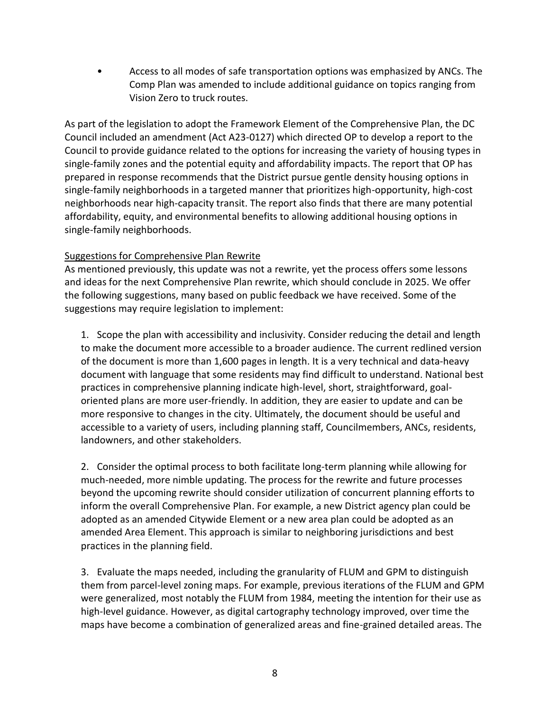• Access to all modes of safe transportation options was emphasized by ANCs. The Comp Plan was amended to include additional guidance on topics ranging from Vision Zero to truck routes.

As part of the legislation to adopt the Framework Element of the Comprehensive Plan, the DC Council included an amendment (Act A23-0127) which directed OP to develop a report to the Council to provide guidance related to the options for increasing the variety of housing types in single-family zones and the potential equity and affordability impacts. The report that OP has prepared in response recommends that the District pursue gentle density housing options in single-family neighborhoods in a targeted manner that prioritizes high-opportunity, high-cost neighborhoods near high-capacity transit. The report also finds that there are many potential affordability, equity, and environmental benefits to allowing additional housing options in single-family neighborhoods.

## Suggestions for Comprehensive Plan Rewrite

As mentioned previously, this update was not a rewrite, yet the process offers some lessons and ideas for the next Comprehensive Plan rewrite, which should conclude in 2025. We offer the following suggestions, many based on public feedback we have received. Some of the suggestions may require legislation to implement:

1. Scope the plan with accessibility and inclusivity. Consider reducing the detail and length to make the document more accessible to a broader audience. The current redlined version of the document is more than 1,600 pages in length. It is a very technical and data-heavy document with language that some residents may find difficult to understand. National best practices in comprehensive planning indicate high-level, short, straightforward, goaloriented plans are more user-friendly. In addition, they are easier to update and can be more responsive to changes in the city. Ultimately, the document should be useful and accessible to a variety of users, including planning staff, Councilmembers, ANCs, residents, landowners, and other stakeholders.

2. Consider the optimal process to both facilitate long-term planning while allowing for much-needed, more nimble updating. The process for the rewrite and future processes beyond the upcoming rewrite should consider utilization of concurrent planning efforts to inform the overall Comprehensive Plan. For example, a new District agency plan could be adopted as an amended Citywide Element or a new area plan could be adopted as an amended Area Element. This approach is similar to neighboring jurisdictions and best practices in the planning field.

3. Evaluate the maps needed, including the granularity of FLUM and GPM to distinguish them from parcel-level zoning maps. For example, previous iterations of the FLUM and GPM were generalized, most notably the FLUM from 1984, meeting the intention for their use as high-level guidance. However, as digital cartography technology improved, over time the maps have become a combination of generalized areas and fine-grained detailed areas. The